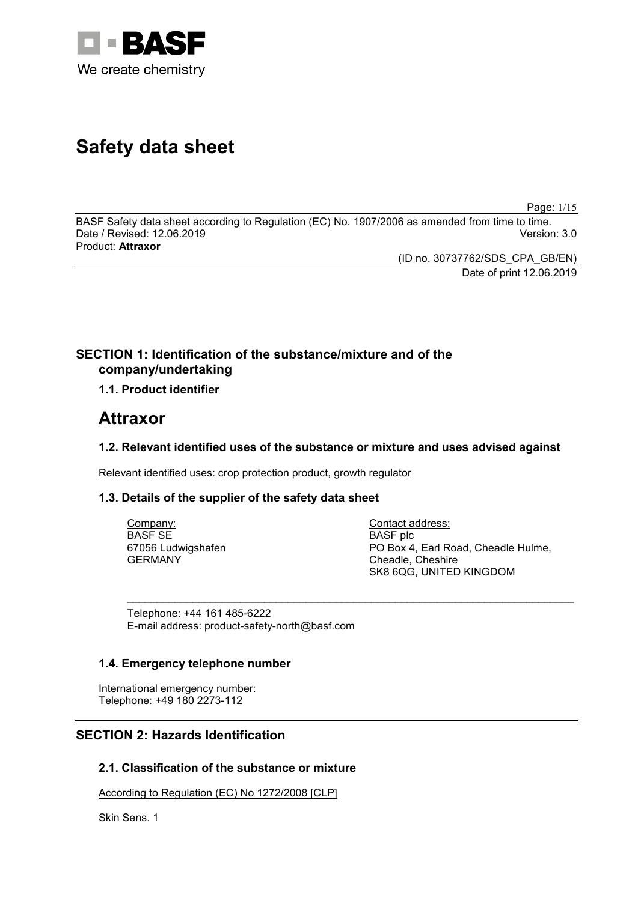

# **Safety data sheet**

Page: 1/15

BASF Safety data sheet according to Regulation (EC) No. 1907/2006 as amended from time to time. Date / Revised: 12.06.2019 Product: **Attraxor**

(ID no. 30737762/SDS\_CPA\_GB/EN)

Date of print 12.06.2019

# **SECTION 1: Identification of the substance/mixture and of the company/undertaking**

# **1.1. Product identifier**

# **Attraxor**

# **1.2. Relevant identified uses of the substance or mixture and uses advised against**

Relevant identified uses: crop protection product, growth regulator

# **1.3. Details of the supplier of the safety data sheet**

| Company:           | Contact address:                    |
|--------------------|-------------------------------------|
| BASF SE            | BASF plc                            |
| 67056 Ludwigshafen | PO Box 4, Earl Road, Cheadle Hulme, |
| GERMANY            | Cheadle, Cheshire                   |
|                    | SK8 6QG, UNITED KINGDOM             |

\_\_\_\_\_\_\_\_\_\_\_\_\_\_\_\_\_\_\_\_\_\_\_\_\_\_\_\_\_\_\_\_\_\_\_\_\_\_\_\_\_\_\_\_\_\_\_\_\_\_\_\_\_\_\_\_\_\_\_\_\_\_\_\_\_\_\_\_\_\_\_\_\_\_\_

Telephone: +44 161 485-6222 E-mail address: product-safety-north@basf.com

#### **1.4. Emergency telephone number**

International emergency number: Telephone: +49 180 2273-112

# **SECTION 2: Hazards Identification**

# **2.1. Classification of the substance or mixture**

According to Regulation (EC) No 1272/2008 [CLP]

Skin Sens. 1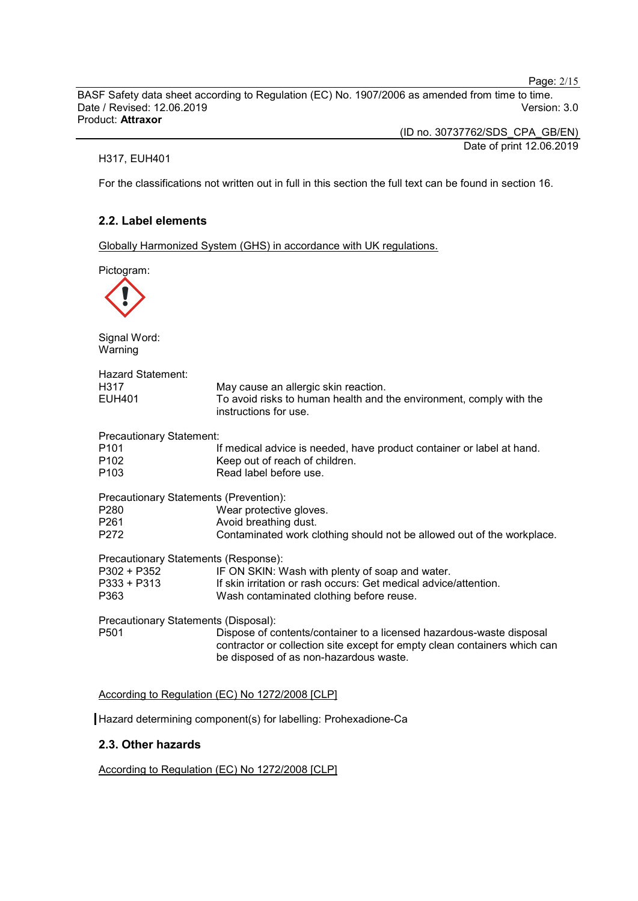Page: 2/15

BASF Safety data sheet according to Regulation (EC) No. 1907/2006 as amended from time to time. Date / Revised: 12.06.2019 Product: **Attraxor**

(ID no. 30737762/SDS\_CPA\_GB/EN)

Date of print 12.06.2019

H317, EUH401

For the classifications not written out in full in this section the full text can be found in section 16.

## **2.2. Label elements**

Globally Harmonized System (GHS) in accordance with UK regulations.

| Pictogram:                                                                 |                                                                                                                                                                                             |
|----------------------------------------------------------------------------|---------------------------------------------------------------------------------------------------------------------------------------------------------------------------------------------|
| Signal Word:<br>Warning                                                    |                                                                                                                                                                                             |
| <b>Hazard Statement:</b><br>H317<br>EUH401                                 | May cause an allergic skin reaction.<br>To avoid risks to human health and the environment, comply with the<br>instructions for use.                                                        |
| <b>Precautionary Statement:</b><br>P101<br>P102<br>P103                    | If medical advice is needed, have product container or label at hand.<br>Keep out of reach of children.<br>Read label before use.                                                           |
| Precautionary Statements (Prevention):<br>P280<br>P <sub>261</sub><br>P272 | Wear protective gloves.<br>Avoid breathing dust.<br>Contaminated work clothing should not be allowed out of the workplace.                                                                  |
| Precautionary Statements (Response):<br>P302 + P352<br>P333 + P313<br>P363 | IF ON SKIN: Wash with plenty of soap and water.<br>If skin irritation or rash occurs: Get medical advice/attention.<br>Wash contaminated clothing before reuse.                             |
| Precautionary Statements (Disposal):<br>P <sub>501</sub>                   | Dispose of contents/container to a licensed hazardous-waste disposal<br>contractor or collection site except for empty clean containers which can<br>be disposed of as non-hazardous waste. |

According to Regulation (EC) No 1272/2008 [CLP]

Hazard determining component(s) for labelling: Prohexadione-Ca

# **2.3. Other hazards**

According to Regulation (EC) No 1272/2008 [CLP]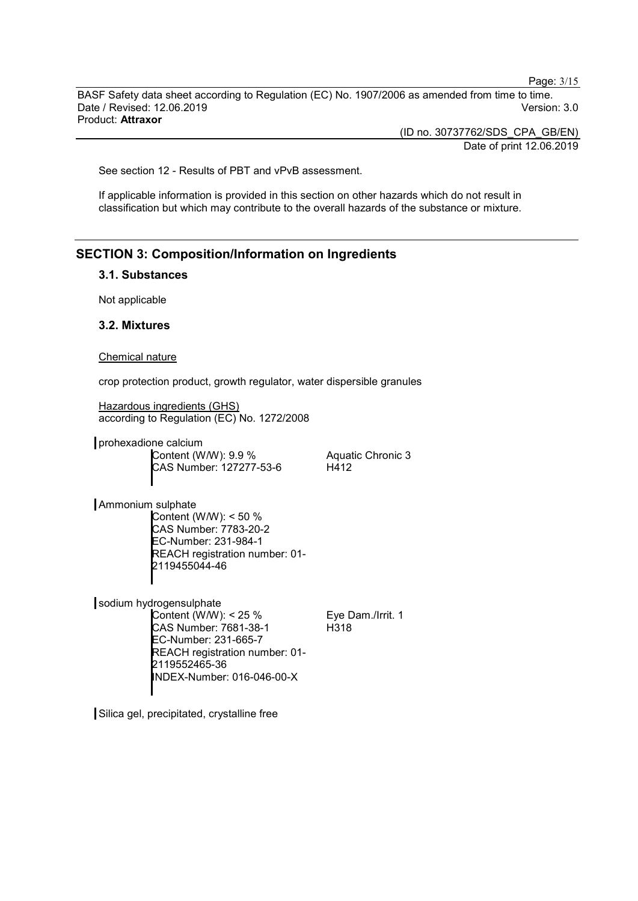Page: 3/15

BASF Safety data sheet according to Regulation (EC) No. 1907/2006 as amended from time to time. Date / Revised: 12.06.2019 Version: 3.0 Product: **Attraxor**

> (ID no. 30737762/SDS\_CPA\_GB/EN) Date of print 12.06.2019

See section 12 - Results of PBT and vPvB assessment.

If applicable information is provided in this section on other hazards which do not result in classification but which may contribute to the overall hazards of the substance or mixture.

# **SECTION 3: Composition/Information on Ingredients**

#### **3.1. Substances**

Not applicable

#### **3.2. Mixtures**

Chemical nature

crop protection product, growth regulator, water dispersible granules

Hazardous ingredients (GHS) according to Regulation (EC) No. 1272/2008

prohexadione calcium Content (W/W): 9.9 % CAS Number: 127277-53-6

Aquatic Chronic 3 H412

Ammonium sulphate

Content (W/W): < 50 % CAS Number: 7783-20-2 EC-Number: 231-984-1 REACH registration number: 01- 2119455044-46

sodium hydrogensulphate

Content (W/W): < 25 % CAS Number: 7681-38-1 EC-Number: 231-665-7 REACH registration number: 01- 2119552465-36 INDEX-Number: 016-046-00-X

Eye Dam./Irrit. 1 H318

Silica gel, precipitated, crystalline free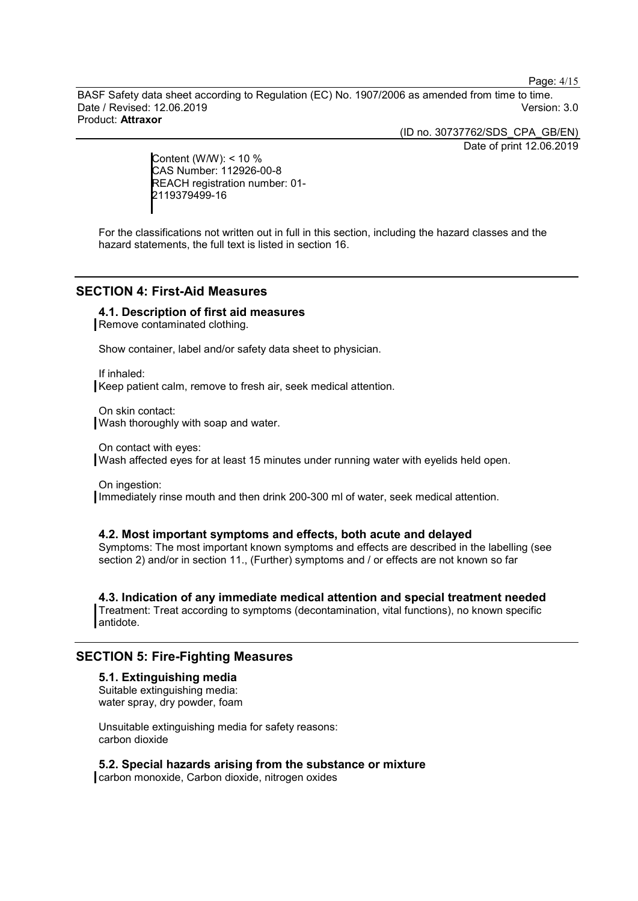Page: 4/15

BASF Safety data sheet according to Regulation (EC) No. 1907/2006 as amended from time to time. Date / Revised: 12.06.2019 Version: 3.0 Product: **Attraxor**

(ID no. 30737762/SDS\_CPA\_GB/EN)

Date of print 12.06.2019

Content (W/W): < 10 % CAS Number: 112926-00-8 REACH registration number: 01- 2119379499-16

For the classifications not written out in full in this section, including the hazard classes and the hazard statements, the full text is listed in section 16.

## **SECTION 4: First-Aid Measures**

#### **4.1. Description of first aid measures**

Remove contaminated clothing.

Show container, label and/or safety data sheet to physician.

If inhaled: Keep patient calm, remove to fresh air, seek medical attention.

On skin contact: Wash thoroughly with soap and water.

On contact with eyes: Wash affected eyes for at least 15 minutes under running water with eyelids held open.

On ingestion: Immediately rinse mouth and then drink 200-300 ml of water, seek medical attention.

#### **4.2. Most important symptoms and effects, both acute and delayed**

Symptoms: The most important known symptoms and effects are described in the labelling (see section 2) and/or in section 11., (Further) symptoms and / or effects are not known so far

**4.3. Indication of any immediate medical attention and special treatment needed** Treatment: Treat according to symptoms (decontamination, vital functions), no known specific antidote.

#### **SECTION 5: Fire-Fighting Measures**

#### **5.1. Extinguishing media** Suitable extinguishing media: water spray, dry powder, foam

Unsuitable extinguishing media for safety reasons: carbon dioxide

#### **5.2. Special hazards arising from the substance or mixture**

carbon monoxide, Carbon dioxide, nitrogen oxides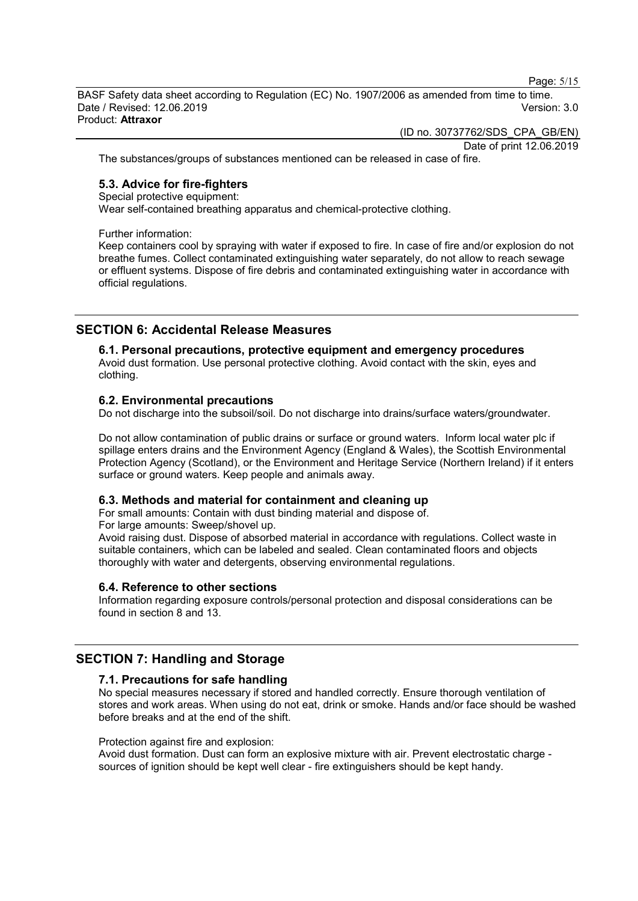Page: 5/15

BASF Safety data sheet according to Regulation (EC) No. 1907/2006 as amended from time to time. Date / Revised: 12.06.2019 Version: 3.0 Product: **Attraxor**

(ID no. 30737762/SDS\_CPA\_GB/EN)

Date of print 12.06.2019

The substances/groups of substances mentioned can be released in case of fire.

#### **5.3. Advice for fire-fighters**

Special protective equipment:

Wear self-contained breathing apparatus and chemical-protective clothing.

Further information:

Keep containers cool by spraying with water if exposed to fire. In case of fire and/or explosion do not breathe fumes. Collect contaminated extinguishing water separately, do not allow to reach sewage or effluent systems. Dispose of fire debris and contaminated extinguishing water in accordance with official regulations.

# **SECTION 6: Accidental Release Measures**

#### **6.1. Personal precautions, protective equipment and emergency procedures**

Avoid dust formation. Use personal protective clothing. Avoid contact with the skin, eyes and clothing.

#### **6.2. Environmental precautions**

Do not discharge into the subsoil/soil. Do not discharge into drains/surface waters/groundwater.

Do not allow contamination of public drains or surface or ground waters. Inform local water plc if spillage enters drains and the Environment Agency (England & Wales), the Scottish Environmental Protection Agency (Scotland), or the Environment and Heritage Service (Northern Ireland) if it enters surface or ground waters. Keep people and animals away.

#### **6.3. Methods and material for containment and cleaning up**

For small amounts: Contain with dust binding material and dispose of. For large amounts: Sweep/shovel up.

Avoid raising dust. Dispose of absorbed material in accordance with regulations. Collect waste in suitable containers, which can be labeled and sealed. Clean contaminated floors and objects thoroughly with water and detergents, observing environmental regulations.

#### **6.4. Reference to other sections**

Information regarding exposure controls/personal protection and disposal considerations can be found in section 8 and 13.

# **SECTION 7: Handling and Storage**

#### **7.1. Precautions for safe handling**

No special measures necessary if stored and handled correctly. Ensure thorough ventilation of stores and work areas. When using do not eat, drink or smoke. Hands and/or face should be washed before breaks and at the end of the shift.

Protection against fire and explosion:

Avoid dust formation. Dust can form an explosive mixture with air. Prevent electrostatic charge sources of ignition should be kept well clear - fire extinguishers should be kept handy.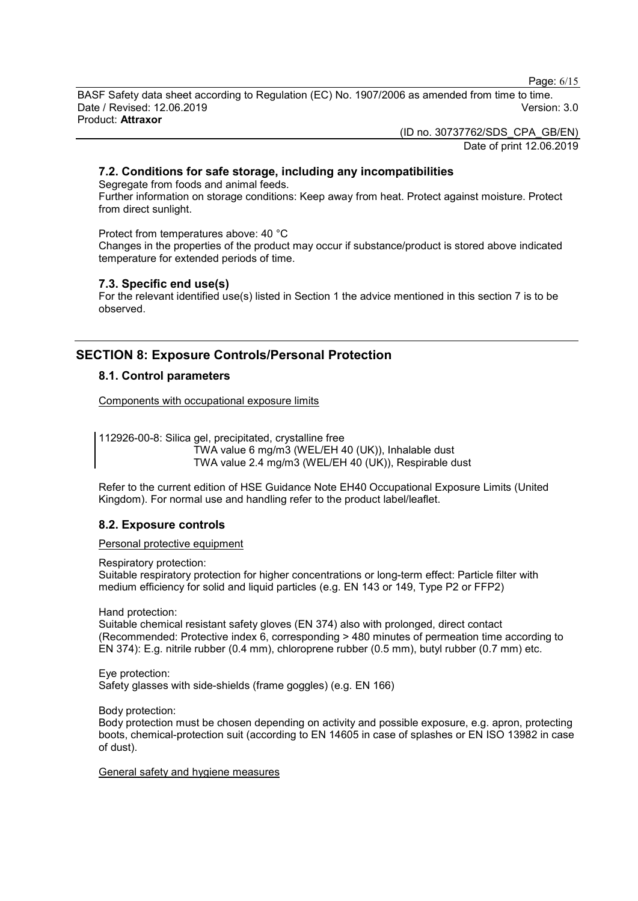Page: 6/15

BASF Safety data sheet according to Regulation (EC) No. 1907/2006 as amended from time to time. Date / Revised: 12.06.2019 Version: 3.0 Product: **Attraxor**

(ID no. 30737762/SDS\_CPA\_GB/EN)

Date of print 12.06.2019

# **7.2. Conditions for safe storage, including any incompatibilities**

Segregate from foods and animal feeds.

Further information on storage conditions: Keep away from heat. Protect against moisture. Protect from direct sunlight.

Protect from temperatures above: 40 °C

Changes in the properties of the product may occur if substance/product is stored above indicated temperature for extended periods of time.

#### **7.3. Specific end use(s)**

For the relevant identified use(s) listed in Section 1 the advice mentioned in this section 7 is to be observed.

# **SECTION 8: Exposure Controls/Personal Protection**

#### **8.1. Control parameters**

Components with occupational exposure limits

112926-00-8: Silica gel, precipitated, crystalline free TWA value 6 mg/m3 (WEL/EH 40 (UK)), Inhalable dust TWA value 2.4 mg/m3 (WEL/EH 40 (UK)), Respirable dust

Refer to the current edition of HSE Guidance Note EH40 Occupational Exposure Limits (United Kingdom). For normal use and handling refer to the product label/leaflet.

#### **8.2. Exposure controls**

Personal protective equipment

Respiratory protection:

Suitable respiratory protection for higher concentrations or long-term effect: Particle filter with medium efficiency for solid and liquid particles (e.g. EN 143 or 149, Type P2 or FFP2)

Hand protection:

Suitable chemical resistant safety gloves (EN 374) also with prolonged, direct contact (Recommended: Protective index 6, corresponding > 480 minutes of permeation time according to EN 374): E.g. nitrile rubber (0.4 mm), chloroprene rubber (0.5 mm), butyl rubber (0.7 mm) etc.

Eye protection: Safety glasses with side-shields (frame goggles) (e.g. EN 166)

Body protection:

Body protection must be chosen depending on activity and possible exposure, e.g. apron, protecting boots, chemical-protection suit (according to EN 14605 in case of splashes or EN ISO 13982 in case of dust).

General safety and hygiene measures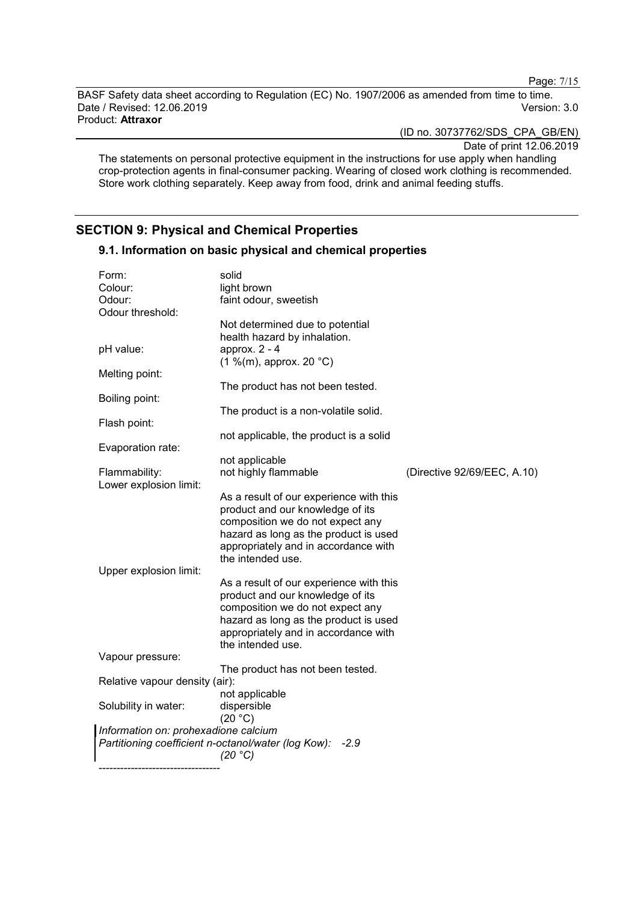Page: 7/15

BASF Safety data sheet according to Regulation (EC) No. 1907/2006 as amended from time to time. Date / Revised: 12.06.2019 Product: **Attraxor**

(ID no. 30737762/SDS\_CPA\_GB/EN)

Date of print 12.06.2019

The statements on personal protective equipment in the instructions for use apply when handling crop-protection agents in final-consumer packing. Wearing of closed work clothing is recommended. Store work clothing separately. Keep away from food, drink and animal feeding stuffs.

# **SECTION 9: Physical and Chemical Properties**

# **9.1. Information on basic physical and chemical properties**

| Form:                                | solid                                                       |                             |
|--------------------------------------|-------------------------------------------------------------|-----------------------------|
| Colour:                              | light brown                                                 |                             |
| Odour:                               | faint odour, sweetish                                       |                             |
| Odour threshold:                     |                                                             |                             |
|                                      | Not determined due to potential                             |                             |
|                                      | health hazard by inhalation.                                |                             |
| pH value:                            | approx. 2 - 4                                               |                             |
|                                      | $(1\%$ (m), approx. 20 °C)                                  |                             |
| Melting point:                       |                                                             |                             |
|                                      | The product has not been tested.                            |                             |
| Boiling point:                       |                                                             |                             |
|                                      | The product is a non-volatile solid.                        |                             |
| Flash point:                         |                                                             |                             |
|                                      | not applicable, the product is a solid                      |                             |
| Evaporation rate:                    |                                                             |                             |
|                                      | not applicable                                              |                             |
| Flammability:                        | not highly flammable                                        | (Directive 92/69/EEC, A.10) |
| Lower explosion limit:               |                                                             |                             |
|                                      | As a result of our experience with this                     |                             |
|                                      | product and our knowledge of its                            |                             |
|                                      | composition we do not expect any                            |                             |
|                                      | hazard as long as the product is used                       |                             |
|                                      | appropriately and in accordance with                        |                             |
|                                      | the intended use.                                           |                             |
|                                      |                                                             |                             |
| Upper explosion limit:               |                                                             |                             |
|                                      | As a result of our experience with this                     |                             |
|                                      | product and our knowledge of its                            |                             |
|                                      | composition we do not expect any                            |                             |
|                                      | hazard as long as the product is used                       |                             |
|                                      | appropriately and in accordance with                        |                             |
|                                      | the intended use.                                           |                             |
| Vapour pressure:                     |                                                             |                             |
|                                      | The product has not been tested.                            |                             |
| Relative vapour density (air):       |                                                             |                             |
|                                      | not applicable                                              |                             |
| Solubility in water:                 | dispersible                                                 |                             |
|                                      | (20 °C)                                                     |                             |
| Information on: prohexadione calcium |                                                             |                             |
|                                      | Partitioning coefficient n-octanol/water (log Kow):<br>-2.9 |                             |
|                                      | (20 °C)                                                     |                             |
|                                      |                                                             |                             |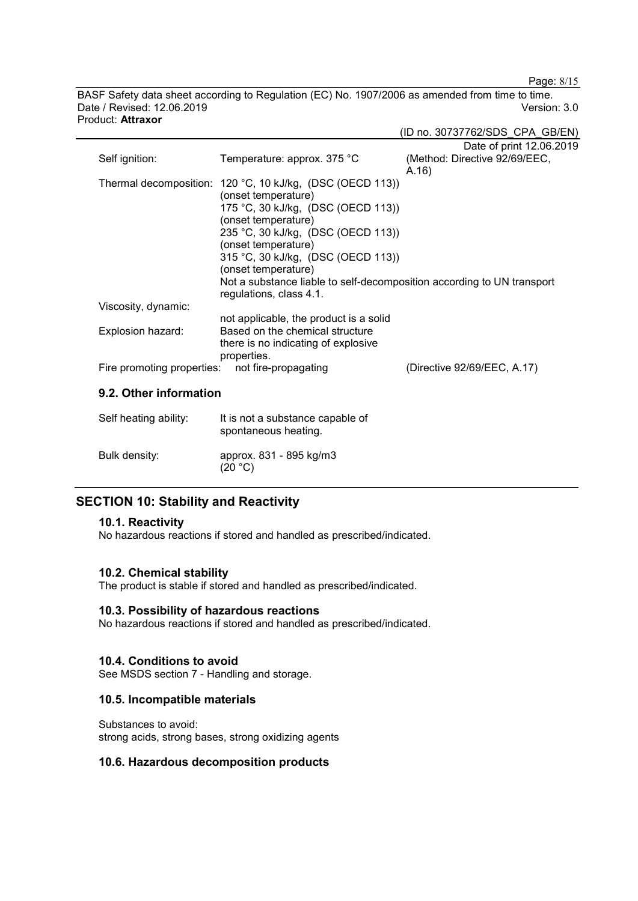Page: 8/15

BASF Safety data sheet according to Regulation (EC) No. 1907/2006 as amended from time to time. Date / Revised: 12.06.2019 Version: 3.0 Product: **Attraxor**

|                            |                                                                        | (ID no. 30737762/SDS_CPA_GB/EN) |
|----------------------------|------------------------------------------------------------------------|---------------------------------|
|                            |                                                                        | Date of print 12.06.2019        |
| Self ignition:             | Temperature: approx. 375 °C                                            | (Method: Directive 92/69/EEC,   |
|                            |                                                                        | A.16)                           |
|                            | Thermal decomposition: 120 °C, 10 kJ/kg, (DSC (OECD 113))              |                                 |
|                            | (onset temperature)                                                    |                                 |
|                            | 175 °C, 30 kJ/kg, (DSC (OECD 113))                                     |                                 |
|                            | (onset temperature)                                                    |                                 |
|                            | 235 °C, 30 kJ/kg, (DSC (OECD 113))                                     |                                 |
|                            | (onset temperature)                                                    |                                 |
|                            | 315 °C, 30 kJ/kg, (DSC (OECD 113))                                     |                                 |
|                            | (onset temperature)                                                    |                                 |
|                            | Not a substance liable to self-decomposition according to UN transport |                                 |
| Viscosity, dynamic:        | regulations, class 4.1.                                                |                                 |
|                            | not applicable, the product is a solid                                 |                                 |
| Explosion hazard:          | Based on the chemical structure                                        |                                 |
|                            | there is no indicating of explosive                                    |                                 |
|                            | properties.                                                            |                                 |
| Fire promoting properties: | not fire-propagating                                                   | (Directive 92/69/EEC, A.17)     |
|                            |                                                                        |                                 |
| 9.2. Other information     |                                                                        |                                 |
| Self heating ability:      | It is not a substance capable of                                       |                                 |
|                            | spontaneous heating.                                                   |                                 |
|                            |                                                                        |                                 |
| Bulk density:              | approx. 831 - 895 kg/m3                                                |                                 |
|                            | (20 °C)                                                                |                                 |

# **SECTION 10: Stability and Reactivity**

#### **10.1. Reactivity**

No hazardous reactions if stored and handled as prescribed/indicated.

#### **10.2. Chemical stability**

The product is stable if stored and handled as prescribed/indicated.

#### **10.3. Possibility of hazardous reactions**

No hazardous reactions if stored and handled as prescribed/indicated.

# **10.4. Conditions to avoid**

See MSDS section 7 - Handling and storage.

## **10.5. Incompatible materials**

Substances to avoid: strong acids, strong bases, strong oxidizing agents

#### **10.6. Hazardous decomposition products**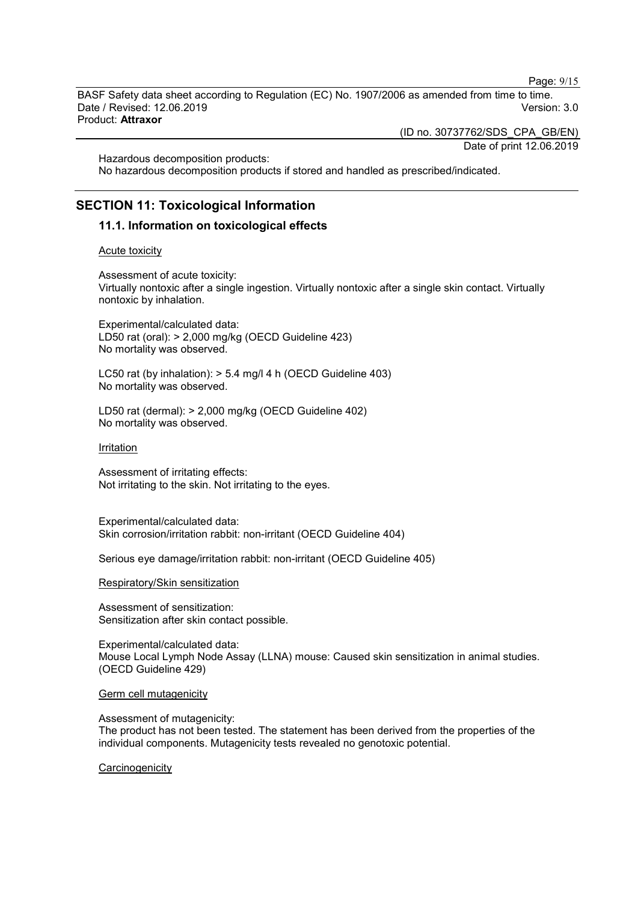Page: 9/15

BASF Safety data sheet according to Regulation (EC) No. 1907/2006 as amended from time to time. Date / Revised: 12.06.2019 Version: 3.0 Product: **Attraxor**

(ID no. 30737762/SDS\_CPA\_GB/EN)

Date of print 12.06.2019

Hazardous decomposition products: No hazardous decomposition products if stored and handled as prescribed/indicated.

# **SECTION 11: Toxicological Information**

# **11.1. Information on toxicological effects**

#### Acute toxicity

Assessment of acute toxicity: Virtually nontoxic after a single ingestion. Virtually nontoxic after a single skin contact. Virtually nontoxic by inhalation.

Experimental/calculated data: LD50 rat (oral): > 2,000 mg/kg (OECD Guideline 423) No mortality was observed.

LC50 rat (by inhalation): > 5.4 mg/l 4 h (OECD Guideline 403) No mortality was observed.

LD50 rat (dermal): > 2,000 mg/kg (OECD Guideline 402) No mortality was observed.

Irritation

Assessment of irritating effects: Not irritating to the skin. Not irritating to the eyes.

Experimental/calculated data: Skin corrosion/irritation rabbit: non-irritant (OECD Guideline 404)

Serious eye damage/irritation rabbit: non-irritant (OECD Guideline 405)

Respiratory/Skin sensitization

Assessment of sensitization: Sensitization after skin contact possible.

Experimental/calculated data: Mouse Local Lymph Node Assay (LLNA) mouse: Caused skin sensitization in animal studies. (OECD Guideline 429)

#### Germ cell mutagenicity

Assessment of mutagenicity:

The product has not been tested. The statement has been derived from the properties of the individual components. Mutagenicity tests revealed no genotoxic potential.

**Carcinogenicity**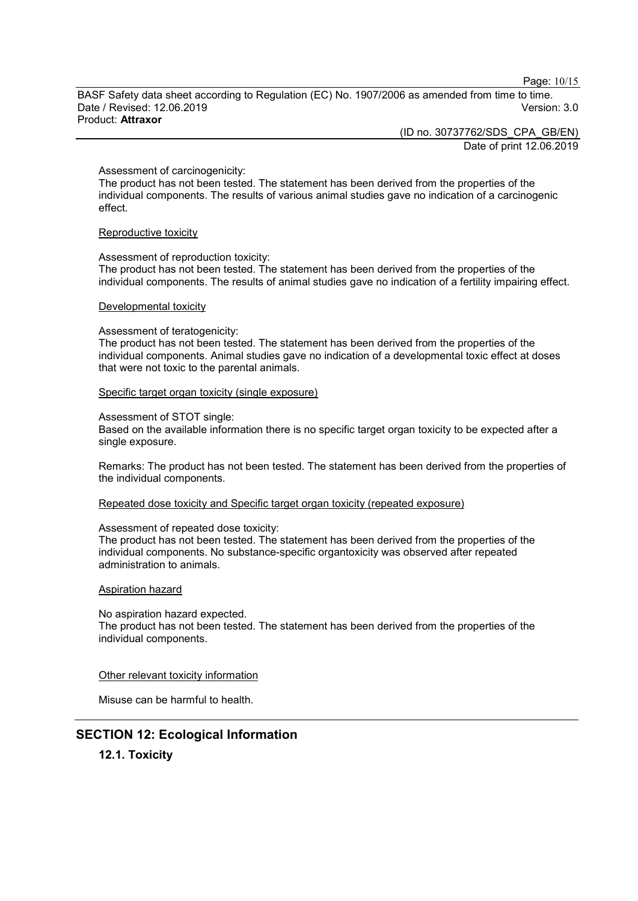Page: 10/15

BASF Safety data sheet according to Regulation (EC) No. 1907/2006 as amended from time to time. Date / Revised: 12.06.2019 Version: 3.0 Product: **Attraxor**

(ID no. 30737762/SDS\_CPA\_GB/EN)

Date of print 12.06.2019

#### Assessment of carcinogenicity:

The product has not been tested. The statement has been derived from the properties of the individual components. The results of various animal studies gave no indication of a carcinogenic effect.

#### Reproductive toxicity

Assessment of reproduction toxicity:

The product has not been tested. The statement has been derived from the properties of the individual components. The results of animal studies gave no indication of a fertility impairing effect.

#### Developmental toxicity

#### Assessment of teratogenicity:

The product has not been tested. The statement has been derived from the properties of the individual components. Animal studies gave no indication of a developmental toxic effect at doses that were not toxic to the parental animals.

#### Specific target organ toxicity (single exposure)

#### Assessment of STOT single:

Based on the available information there is no specific target organ toxicity to be expected after a single exposure.

Remarks: The product has not been tested. The statement has been derived from the properties of the individual components.

#### Repeated dose toxicity and Specific target organ toxicity (repeated exposure)

#### Assessment of repeated dose toxicity:

The product has not been tested. The statement has been derived from the properties of the individual components. No substance-specific organtoxicity was observed after repeated administration to animals.

#### Aspiration hazard

No aspiration hazard expected.

The product has not been tested. The statement has been derived from the properties of the individual components.

#### Other relevant toxicity information

Misuse can be harmful to health.

# **SECTION 12: Ecological Information**

**12.1. Toxicity**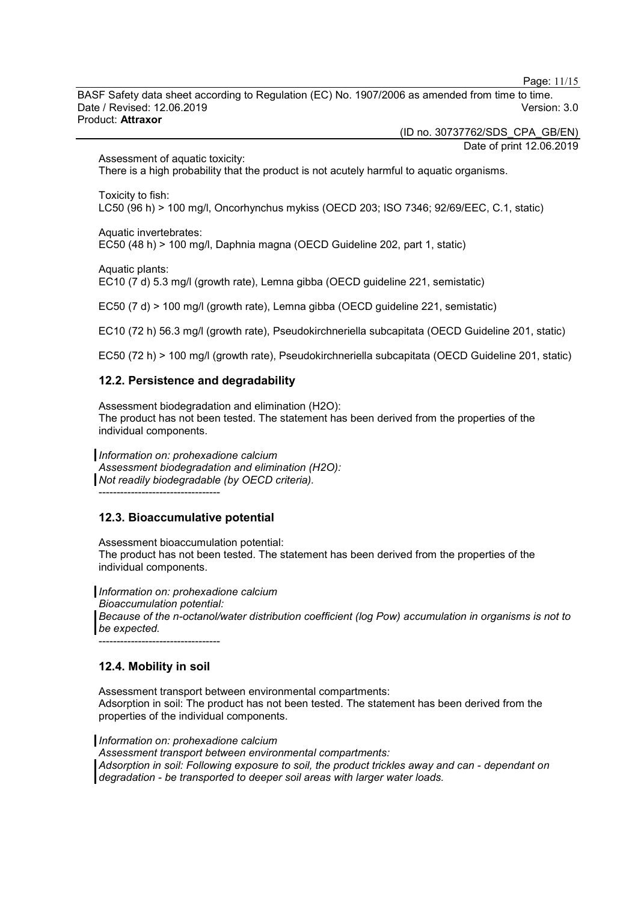Page: 11/15

BASF Safety data sheet according to Regulation (EC) No. 1907/2006 as amended from time to time. Date / Revised: 12.06.2019 Version: 3.0 Product: **Attraxor**

(ID no. 30737762/SDS\_CPA\_GB/EN)

Date of print 12.06.2019

Assessment of aquatic toxicity:

There is a high probability that the product is not acutely harmful to aquatic organisms.

Toxicity to fish:

LC50 (96 h) > 100 mg/l, Oncorhynchus mykiss (OECD 203; ISO 7346; 92/69/EEC, C.1, static)

Aquatic invertebrates:

EC50 (48 h) > 100 mg/l, Daphnia magna (OECD Guideline 202, part 1, static)

Aquatic plants:

EC10 (7 d) 5.3 mg/l (growth rate), Lemna gibba (OECD guideline 221, semistatic)

EC50 (7 d) > 100 mg/l (growth rate), Lemna gibba (OECD guideline 221, semistatic)

EC10 (72 h) 56.3 mg/l (growth rate), Pseudokirchneriella subcapitata (OECD Guideline 201, static)

EC50 (72 h) > 100 mg/l (growth rate), Pseudokirchneriella subcapitata (OECD Guideline 201, static)

# **12.2. Persistence and degradability**

Assessment biodegradation and elimination (H2O): The product has not been tested. The statement has been derived from the properties of the individual components.

*Information on: prohexadione calcium*

*Assessment biodegradation and elimination (H2O): Not readily biodegradable (by OECD criteria).*

----------------------------------

#### **12.3. Bioaccumulative potential**

Assessment bioaccumulation potential: The product has not been tested. The statement has been derived from the properties of the individual components.

*Information on: prohexadione calcium Bioaccumulation potential: Because of the n-octanol/water distribution coefficient (log Pow) accumulation in organisms is not to be expected.*

----------------------------------

#### **12.4. Mobility in soil**

Assessment transport between environmental compartments: Adsorption in soil: The product has not been tested. The statement has been derived from the properties of the individual components.

*Information on: prohexadione calcium*

*Assessment transport between environmental compartments:*

*Adsorption in soil: Following exposure to soil, the product trickles away and can - dependant on degradation - be transported to deeper soil areas with larger water loads.*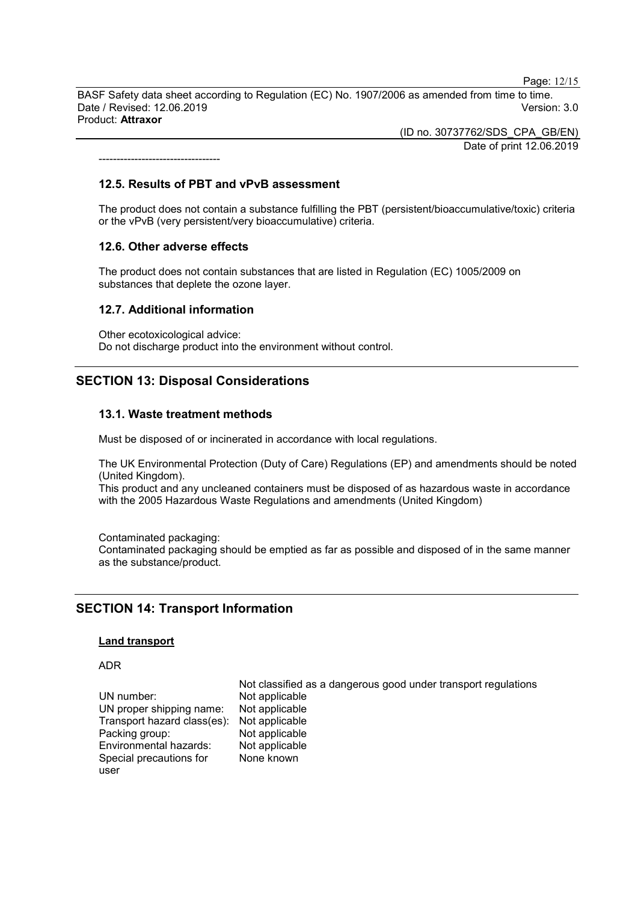Page: 12/15

BASF Safety data sheet according to Regulation (EC) No. 1907/2006 as amended from time to time. Date / Revised: 12.06.2019 Version: 3.0 Product: **Attraxor**

> (ID no. 30737762/SDS\_CPA\_GB/EN) Date of print 12.06.2019

----------------------------------

#### **12.5. Results of PBT and vPvB assessment**

The product does not contain a substance fulfilling the PBT (persistent/bioaccumulative/toxic) criteria or the vPvB (very persistent/very bioaccumulative) criteria.

#### **12.6. Other adverse effects**

The product does not contain substances that are listed in Regulation (EC) 1005/2009 on substances that deplete the ozone layer.

#### **12.7. Additional information**

Other ecotoxicological advice: Do not discharge product into the environment without control.

# **SECTION 13: Disposal Considerations**

#### **13.1. Waste treatment methods**

Must be disposed of or incinerated in accordance with local regulations.

The UK Environmental Protection (Duty of Care) Regulations (EP) and amendments should be noted (United Kingdom).

This product and any uncleaned containers must be disposed of as hazardous waste in accordance with the 2005 Hazardous Waste Regulations and amendments (United Kingdom)

Contaminated packaging:

Contaminated packaging should be emptied as far as possible and disposed of in the same manner as the substance/product.

#### **SECTION 14: Transport Information**

#### **Land transport**

#### ADR

user

Not classified as a dangerous good under transport regulations UN number: Not applicable<br>UN proper shipping name: Not applicable UN proper shipping name: Not applicable<br>Transport hazard class(es): Not applicable Transport hazard class(es): Not applicable Packing group: Not applicable<br>
Environmental hazards: Not applicable Environmental hazards: Special precautions for None known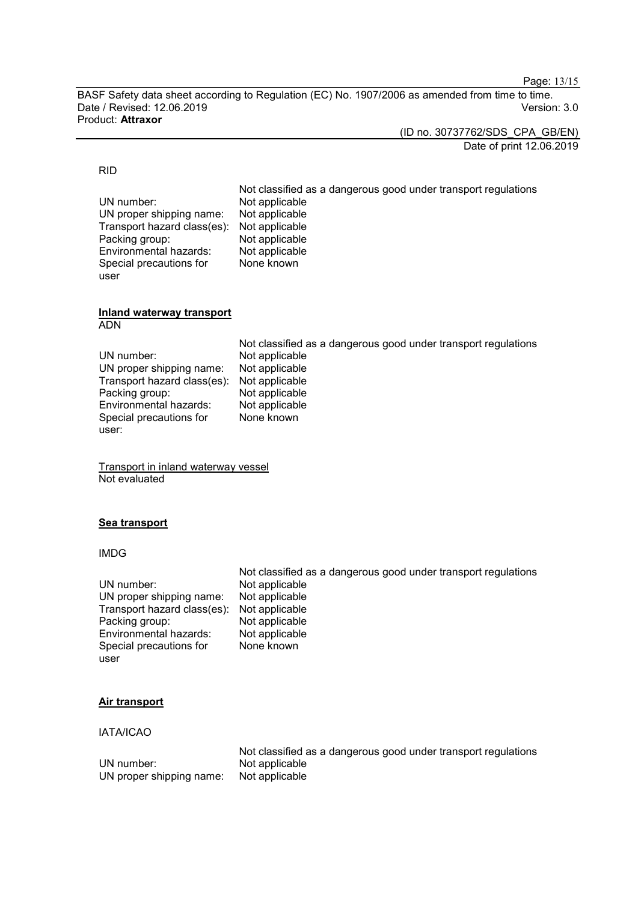Page: 13/15

BASF Safety data sheet according to Regulation (EC) No. 1907/2006 as amended from time to time. Date / Revised: 12.06.2019 Version: 3.0 Product: **Attraxor**

> (ID no. 30737762/SDS\_CPA\_GB/EN) Date of print 12.06.2019

#### RID

user

Not classified as a dangerous good under transport regulations UN number: Not applicable<br>UN proper shipping name: Not applicable UN proper shipping name: Not applicable<br>Transport hazard class(es): Not applicable Transport hazard class(es): Not applicable<br>Packing group: Not applicable Packing group: Not applicable<br>
Environmental hazards: Not applicable Environmental hazards: Special precautions for None known

#### **Inland waterway transport** ADN

UN number: Not applicable<br>UN proper shipping name: Not applicable UN proper shipping name: Not applicable<br>Transport hazard class(es): Not applicable Transport hazard class(es): Not applicable<br>Packing group: Not applicable Packing group: Not applicable<br>
Environmental hazards: Not applicable Environmental hazards: Special precautions for user:

Not classified as a dangerous good under transport regulations None known

Transport in inland waterway vessel Not evaluated

#### **Sea transport**

#### IMDG

|                                            | Not classified as a dangerous good under transport regulations |
|--------------------------------------------|----------------------------------------------------------------|
| UN number:                                 | Not applicable                                                 |
| UN proper shipping name:                   | Not applicable                                                 |
| Transport hazard class(es): Not applicable |                                                                |
| Packing group:                             | Not applicable                                                 |
| Environmental hazards:                     | Not applicable                                                 |
| Special precautions for                    | None known                                                     |
| user                                       |                                                                |

#### **Air transport**

#### IATA/ICAO

|                          | Not classified as a dangerous good under transport regulations |
|--------------------------|----------------------------------------------------------------|
| UN number:               | Not applicable                                                 |
| UN proper shipping name: | Not applicable                                                 |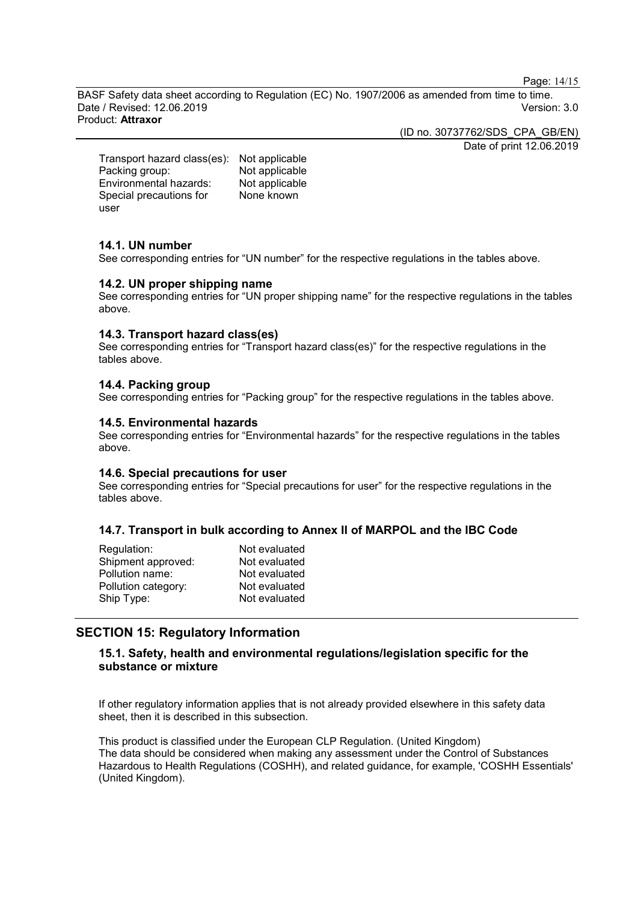Page: 14/15

BASF Safety data sheet according to Regulation (EC) No. 1907/2006 as amended from time to time. Date / Revised: 12.06.2019 Version: 3.0 Product: **Attraxor**

(ID no. 30737762/SDS\_CPA\_GB/EN)

Date of print 12.06.2019

Transport hazard class(es): Not applicable Packing group: Not applicable<br>
Environmental hazards: Not applicable Environmental hazards: Special precautions for user None known

#### **14.1. UN number**

See corresponding entries for "UN number" for the respective regulations in the tables above.

#### **14.2. UN proper shipping name**

See corresponding entries for "UN proper shipping name" for the respective regulations in the tables above.

#### **14.3. Transport hazard class(es)**

See corresponding entries for "Transport hazard class(es)" for the respective regulations in the tables above.

#### **14.4. Packing group**

See corresponding entries for "Packing group" for the respective regulations in the tables above.

#### **14.5. Environmental hazards**

See corresponding entries for "Environmental hazards" for the respective regulations in the tables above.

#### **14.6. Special precautions for user**

See corresponding entries for "Special precautions for user" for the respective regulations in the tables above.

#### **14.7. Transport in bulk according to Annex II of MARPOL and the IBC Code**

| Regulation:         | Not evaluated |
|---------------------|---------------|
| Shipment approved:  | Not evaluated |
| Pollution name:     | Not evaluated |
| Pollution category: | Not evaluated |
| Ship Type:          | Not evaluated |
|                     |               |

# **SECTION 15: Regulatory Information**

# **15.1. Safety, health and environmental regulations/legislation specific for the substance or mixture**

If other regulatory information applies that is not already provided elsewhere in this safety data sheet, then it is described in this subsection.

This product is classified under the European CLP Regulation. (United Kingdom) The data should be considered when making any assessment under the Control of Substances Hazardous to Health Regulations (COSHH), and related guidance, for example, 'COSHH Essentials' (United Kingdom).